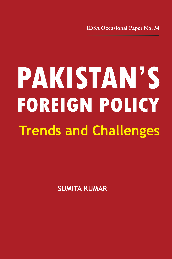**IDSA Occasional Paper No. 54**

<u> The Communication of the Communication of the Communication of the Communication of the Communication of the Co</u>

# **Trends and Challenges FOREIGN POLICY PAKISTAN'S**

**SUMITA KUMAR**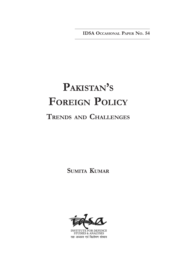**IDSA OCCASIONAL PAPER NO. 54**

## **PAKISTAN'<sup>S</sup> FOREIGN POLICY TRENDS AND CHALLENGES**

**SUMITA KUMAR**



UTE FOR DEFENCE **STUDIES & ANALYSES** रक्षा अध्ययन एवं विश्लेषण संस्थान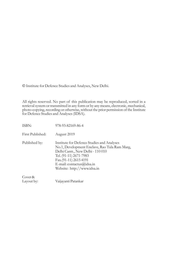Institute for Defence Studies and Analyses, New Delhi.

All rights reserved. No part of this publication may be reproduced, sorted in a retrieval system or transmitted in any form or by any means, electronic, mechanical, photo-copying, recording or otherwise, without the prior permission of the Institute for Defence Studies and Analyses (IDSA).

ISBN: 978-93-82169-86-4

First Published: August 2019

Published by: Institute for Defence Studies and Analyses No.1, Development Enclave, Rao Tula Ram Marg, Delhi Cantt., New Delhi - 110 010 Tel. (91-11) 2671-7983 Fax.(91-11) 2615 4191 E-mail: contactus@idsa.in Website: http://www.idsa.in

Cover & Layout by: Vaijayanti Patankar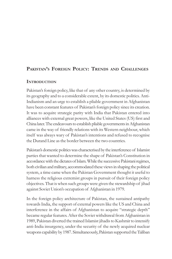### **PAKISTAN'S FOREIGN POLICY: TRENDS AND CHALLENGES**

#### **INTRODUCTION**

Pakistan's foreign policy, like that of any other country, is determined by its geography and to a considerable extent, by its domestic politics. Anti-Indianism and an urge to establish a pliable government in Afghanistan have been constant features of Pakistan's foreign policy since its creation. It was to acquire strategic parity with India that Pakistan entered into alliances with external great powers, like the United States (US) first and China later. The endeavours to establish pliable governments in Afghanistan came in the way of friendly relations with its Western neighbour, which itself was always wary of Pakistan's intentions and refused to recognise the Durand Line as the border between the two countries.

Pakistan's domestic politics was characterised by the interference of Islamist parties that wanted to determine the shape of Pakistan's Constitution in accordance with the dictates of Islam. While the successive Pakistani regimes, both civilian and military, accommodated these views in shaping the political system, a time came when the Pakistan Government thought it useful to harness the religious extremist groups in pursuit of their foreign policy objectives. That is when such groups were given the stewardship of jihad against Soviet Union's occupation of Afghanistan in 1979.

In the foreign policy architecture of Pakistan, the sustained antipathy towards India, the support of external powers like the US and China and interference in the affairs of Afghanistan to acquire "strategic depth" became regular features. After the Soviet withdrawal from Afghanistan in 1989, Pakistan diverted the trained Islamist jihadis to Kashmir to intensify anti-India insurgency, under the security of the newly acquired nuclear weapons capability by 1987. Simultaneously, Pakistan supported the Taliban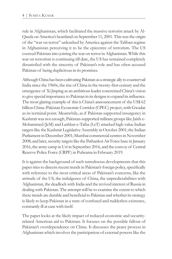rule in Afghanistan, which facilitated the massive terrorist attack by Al-Qaeda on America's heartland on September 11, 2001. This was the origin of the "war on terror" unleashed by America against the Taliban regime in Afghanistan perceiving it to be the epicentre of terrorism. The US coerced Pakistan into joining the war on terror in Afghanistan. While this war on terrorism is continuing till date, the US has remained completely dissatisfied with the sincerity of Pakistan's role and has often accused Pakistan of being duplicitous in its promises.

Although China has been cultivating Pakistan as a strategic ally to countervail India since the 1960s, the rise of China in the twenty-first century and the emergence of Xi Jinping as an ambitious leader concretised China's vision to give special importance to Pakistan in its designs to expand its influence. The most glaring example of this is China's announcement of the US\$ 62 billion China–Pakistan Economic Corridor (CPEC) project, with Gwadar as its terminal point. Meanwhile, as if Pakistan supported insurgency in Kashmir was not enough, Pakistan-supported militant groups like Jaish-e-Mohammed (JeM) and Lashkar-e-Taiba (LeT) attacked high-value Indian targets like the Kashmir Legislative Assembly in October 2001; the Indian Parliament in December 2001; Mumbai commercial centres in November 2008; and later, security targets like the Pathankot Air Force base in January 2016, the army camp in Uri in September 2016, and the convoy of Central Reserve Police Force (CRPF) in Pulwama in February 2019.

It is against the background of such tumultuous developments that this paper tries to discern recent trends in Pakistan's foreign policy, specifically with reference to the most critical areas of Pakistan's concerns, like the attitude of the US, the indulgence of China, the unpredictabilities with Afghanistan, the deadlock with India and the revived interest of Russia in dealing with Pakistan. The attempt will be to examine the extent to which these trends are durable and beneficial to Pakistan and whether its strategy is likely to keep Pakistan in a state of confused and rudderless existence, constantly ill at ease with itself.

The paper looks at the likely impact of reduced economic and securityrelated American aid to Pakistan. It focuses on the possible fallout of Pakistan's overdependence on China. It discusses the peace process in Afghanistan which involves the participation of external powers like the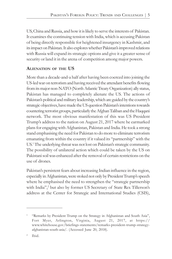US, China and Russia, and how it is likely to serve the interests of Pakistan. It examines the continuing tension with India, which is accusing Pakistan of being directly responsible for heightened insurgency in Kashmir, and its impact on Pakistan. It also explores whether Pakistan's improved relations with Russia will expand its strategic options and give it a greater sense of security or land it in the arena of competition among major powers.

#### **ALIENATION OF THE US**

More than a decade-and-a half after having been coerced into joining the US-led war on terrorism and having received the attendant benefits flowing from its major non-NATO (North Atlantic Treaty Organization) ally status, Pakistan has managed to completely alienate the US. The actions of Pakistan's political and military leadership, which are guided by the country's strategic objectives, have made the US question Pakistan's intentions towards countering terrorist groups, particularly the Afghan Taliban and the Haqqani network. The most obvious manifestation of this was US President Trump's address to the nation on August 21, 2017 where he earmarked plans for engaging with Afghanistan, Pakistan and India. He took a strong stand emphasising the need for Pakistan to do more to eliminate terrorism emanating from within the country if it valued its "partnership" with the US. 1 The underlying threat was not lost on Pakistan's strategic community. The possibility of unilateral action which could be taken by the US on Pakistani soil was enhanced after the removal of certain restrictions on the use of drones.

Pakistan's persistent fears about increasing Indian influence in the region, especially in Afghanistan, were stoked not only by President Trump's speech where he emphasised the need to strengthen the "strategic partnership with India",<sup>2</sup> but also by former US Secretary of State Rex Tillerson's address at the Center for Strategic and International Studies (CSIS),

<sup>&</sup>quot;Remarks by President Trump on the Strategy in Afghanistan and South Asia", Fort Myer, Arlington, Virginia, August 21, 2017, at https:// www.whitehouse.gov/briefings-statements/remarks-president-trump-strategyafghanistan-south-asia/. (Accessed June 20, 2018).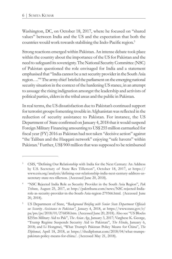Washington, DC, on October 18, 2017, where he focused on "shared values" between India and the US and the expectation that both the countries would work towards stabilising the Indo-Pacific region.<sup>3</sup>

Strong reactions emerged within Pakistan. An intense debate took place within the country about the importance of the US for Pakistan and the need to safeguard its sovereignty. The National Security Committee (NSC) of Pakistan questioned the role envisaged for India and a statement emphasised that "India cannot be a net security provider in the South Asia region…." 4 The army chief briefed the parliament on the emerging national security situation in the context of the hardening US stance, in an attempt to assuage the rising indignation amongst the leadership and activists of political parties, elders in the tribal areas and the public in Pakistan.

In real terms, the US dissatisfaction due to Pakistan's continued support for terrorist groups fomenting trouble in Afghanistan was reflected in the reduction of security assistance to Pakistan. For instance, the US Department of State confirmed on January 4, 2018 that it would suspend Foreign Military Financing amounting to US\$ 255 million earmarked for fiscal year (FY) 2016 as Pakistan had not taken "decisive action" against "the Taliban and the Haqqani network" enjoying "safe havens" within Pakistan.<sup>5</sup> Further, US\$ 900 million that was supposed to be reimbursed

<sup>&</sup>lt;sup>3</sup> CSIS, "Defining Our Relationship with India for the Next Century: An Address by U.S. Secretary of State Rex Tillerson", October 18, 2017, at https:// www.csis.org/analysis/defining-our-relationship-india-next-century-address-ussecretary-state-rex-tillerson. (Accessed June 20, 2018).

<sup>4</sup> "NSC Rejected India Role as Security Provider in the South Asia Region", *Pak Tribune*, August 25, 2017, at http://paktribune.com/news/NSC-rejected-Indiarole-as-security-provider-in-the-South-Asia-region-279366.html. (Accessed June 20, 2018).

<sup>5</sup> US Department of State, "*Background Briefing with Senior State Department Officials on Security Assistance to Pakistan", January* 4, 2018, at https://www.state.gov/r/ pa/prs/ps/2018/01/276858.htm. (Accessed June 20, 2018). Also see "US Blocks \$255m Military Aid to Pak", *The Asian Age*, January 3, 2017; Varghese K. George, "Trump Regime Suspends Security Aid to Pakistan", *The Hindu*, January 6, 2018; and Li Hongmei, "What Trump's Pakistan Policy Means for China", *The Diplomat*, April 18, 2018, at https://thediplomat.com/2018/04/what-trumpspakistan-policy-means-for-china/. (Accessed May 21, 2018).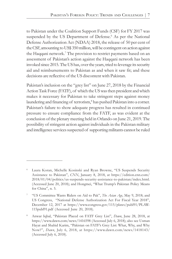to Pakistan under the Coalition Support Funds (CSF) for FY 2017 was suspended by the US Department of Defense.<sup>6</sup> As per the National Defense Authorization Act (NDAA) 2018, the release of 50 per cent of the CSF, amounting to US\$ 350 million, will be contingent on action against the Haqqani network.<sup>7</sup> The provision to restrict payments based on an assessment of Pakistan's action against the Haqqani network has been invoked since 2015. The US has, over the years, tried to leverage its security aid and reimbursements to Pakistan as and when it saw fit; and these decisions are reflective of the US discontent with Pakistan.

Pakistan's inclusion on the "grey list" on June 27, 2018 by the Financial Action Task Force (FATF), of which the US was then president and which makes it necessary for Pakistan to take stringent steps against money laundering and financing of terrorism,<sup>8</sup> has pushed Pakistan into a corner. Pakistan's failure to show adequate progress has resulted in continued pressure to ensure compliance from the FATF, as was evident at the conclusion of the plenary meeting held in Orlando on June 21, 2019. The possibility of stringent action against individuals in the Pakistan military and intelligence services suspected of supporting militants cannot be ruled

Laura Koran, Michelle Kosinski and Ryan Browne, "US Suspends Security Assistance to Pakistan", *CNN*, January 8, 2018, at https://edition.cnn.com/ 2018/01/04/politics/us-suspends-security-assistance-to-pakistan/index.html. (Accessed June 20, 2018); and Hongmei, "What Trump's Pakistan Policy Means for China", n. 5.

<sup>7</sup> "US Committee Wants Riders on Aid to Pak", *The Asian Age*, May 9, 2018; and US Congress, "National Defense Authorization Act For Fiscal Year 2018", December 12, 2017 at https://www.congress.gov/115/plaws/publ91/PLAW-115publ91.pdf (Accessed June 20, 2018).

<sup>8</sup> Anwar Iqbal, "Pakistan Placed on FATF Grey List", *Dawn*, June 28, 2018, at https://www.dawn.com/news/1416598 (Accessed July 6, 2018); also see Usman Hayat and Shahid Karim, "Pakistan on FATF's Grey List: What, Why, and Why Now?", *Dawn*, July 6, 2018, at https://www.dawn.com/news/1418143/ (Accessed July 6, 2018).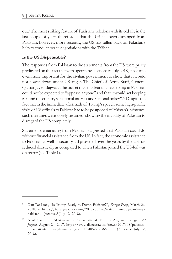out.<sup>9</sup> The most striking feature of Pakistan's relations with its old ally in the last couple of years therefore is that the US has been estranged from Pakistan; however, more recently, the US has fallen back on Pakistan's help to conduct peace negotiations with the Taliban.

#### **Is the US Dispensable?**

The responses from Pakistan to the statements from the US, were partly predicated on the fact that with upcoming elections in July 2018, it became even more important for the civilian government to show that it would not cower down under US anger. The Chief of Army Staff, General Qamar Javed Bajwa, at the outset made it clear that leadership in Pakistan could not be expected to "appease anyone" and that it would act keeping in mind the country's "national interest and national policy".<sup>10</sup> Despite the fact that in the immediate aftermath of Trump's speech some high-profile visits of US officials to Pakistan had to be postponed at Pakistan's insistence, such meetings were slowly resumed, showing the inability of Pakistan to disregard the US completely.

Statements emanating from Pakistan suggested that Pakistan could do without financial assistance from the US. In fact, the economic assistance to Pakistan as well as security aid provided over the years by the US has reduced drastically as compared to when Pakistan joined the US-led war on terror (see Table 1).

<sup>9</sup> Dan De Luce, "Is Trump Ready to Dump Pakistan?", *Foreign Policy*, March 26, 2018, at https://foreignpolicy.com/2018/03/26/is-trump-ready-to-dumppakistan/. (Accessed July 12, 2018).

<sup>10</sup> Asad Hashim, "Pakistan in the Crosshairs of Trump's Afghan Strategy", *Al Jazeera*, August 24, 2017, https://www.aljazeera.com/news/2017/08/pakistancrosshairs-trump-afghan-strategy-170824052758366.html. (Accessed July 12, 2018).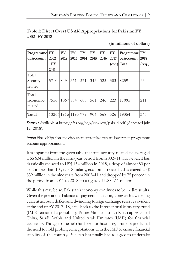| Table 1: Direct Overt US Aid Appropriations for Pakistan FY |  |
|-------------------------------------------------------------|--|
| 2002–FY 2018                                                |  |

|  | (in millions of dollars) |  |  |  |
|--|--------------------------|--|--|--|
|--|--------------------------|--|--|--|

| Programme FY<br>or Account    | 2002<br>$-FY$<br>2011 | <b>FY</b><br>2012 | <b>FY</b><br>2013 | <b>FY</b><br>2014 | <b>FY</b><br>2015 | <b>FY</b><br>2016 | <b>FY</b><br>2017 | Programme FY<br>or Account<br>(est.) Total | 2018<br>$_{\rm (req.)}$ |
|-------------------------------|-----------------------|-------------------|-------------------|-------------------|-------------------|-------------------|-------------------|--------------------------------------------|-------------------------|
| Total<br>Security-<br>related | 5710                  | 849               | 361               | 371               | 343               | 322               | 303               | 8259                                       | 134                     |
| Total<br>Economic-<br>related | 7556                  | 1067 834          |                   | 608               | 561               | 246               | 223               | 11095                                      | 211                     |
| Total                         | 13266 1916 1195 979   |                   |                   |                   | 904               | 568               | 526               | 19354                                      | 345                     |

*Source***:** Available at https://fas.org/sgp/crs/row/pakaid.pdf. (Accessed July 12, 2018).

*Note***:** Final obligation and disbursement totals often are lower than programme account appropriations.

It is apparent from the given table that total security-related aid averaged US\$ 634 million in the nine-year period from 2002–11. However, it has drastically reduced to US\$ 134 million in 2018, a drop of almost 80 per cent in less than 10 years. Similarly, economic-related aid averaged US\$ 839 million in the nine years from 2002–11 and dropped by 75 per cent in the period from 2011 to 2018, to a figure of US\$ 211 million.

While this may be so, Pakistan's economy continues to be in dire straits. Given the precarious balance-of-payments situation, along with a widening current account deficit and dwindling foreign exchange reserves evident at the end of FY 2017–18, a fall back to the International Monetary Fund (IMF) remained a possibility. Prime Minister Imran Khan approached China, Saudi Arabia and United Arab Emirates (UAE) for financial assistance. Though some help has been forthcoming, it has not precluded the need to hold prolonged negotiations with the IMF to ensure financial stability of the country. Pakistan has finally had to agree to undertake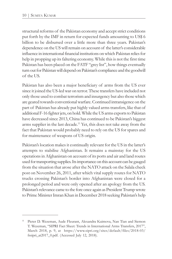structural reforms of the Pakistan economy and accept strict conditions put forth by the IMF in return for expected funds amounting to US\$ 6 billion to be disbursed over a little more than three years. Pakistan's dependence on the US will remain on account of the latter's considerable influence in international financial institutions on which Pakistan relies for help in propping up its faltering economy. While this is not the first time Pakistan has been placed on the FATF "grey list", how things eventually turn out for Pakistan will depend on Pakistan's compliance and the goodwill of the US.

Pakistan has also been a major beneficiary of arms from the US ever since it joined the US-led war on terror. These transfers have included not only those used to combat terrorism and insurgency but also those which are geared towards conventional warfare. Continued intransigence on the part of Pakistan has already put highly valued arms transfers, like that of additional F-16 fighter jets, on hold. While the US arms exports to Pakistan have decreased since 2013, China has continued to be Pakistan's biggest arms supplier in the last decade. <sup>11</sup> Yet, this does not take away from the fact that Pakistan would probably need to rely on the US for spares and for maintenance of weapons of US origin.

Pakistan's location makes it continually relevant for the US in the latter's attempts to stabilise Afghanistan. It remains a mainstay for the US operations in Afghanistan on account of its ports and air and land routes used for transporting supplies. Its importance on this account can be gauged from the situation that arose after the NATO attack on the Salala check post on November 26, 2011, after which vital supply routes for NATO trucks crossing Pakistan's border into Afghanistan were closed for a prolonged period and were only opened after an apology from the US. Pakistan's relevance came to the fore once again as President Trump wrote to Prime Minister Imran Khan in December 2018 seeking Pakistan's help

<sup>11</sup> Pieter D. Wezeman, Aude Fleurant, Alexandra Kuimova, Nan Tian and Siemon T. Wezeman, "SIPRI Fact Sheet: Trends in International Arms Transfers, 2017", March 2018, p. 9, at https://www.sipri.org/sites/default/files/2018-03/ fssipri\_at2017\_0.pdf. (Accessed July 12, 2018).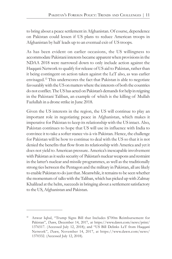to bring about a peace settlement in Afghanistan. Of course, dependence on Pakistan could lessen if US plans to reduce American troops in Afghanistan by half leads up to an eventual exit of US troops.

As has been evident on earlier occasions, the US willingness to accommodate Pakistani interests became apparent when provisions in the NDAA 2018 were narrowed down to only include action against the Haqqani Network to qualify for release of US aid to Pakistan, rather than it being contingent on action taken against the LeT also, as was earlier envisaged.<sup>12</sup> This underscores the fact that Pakistan is able to negotiate favourably with the US on matters where the interests of both the countries do not conflict. The US has acted on Pakistan's demands for help in reigning in the Pakistani Taliban, an example of which is the killing of Mullah Fazlullah in a drone strike in June 2018.

Given the US interests in the region, the US will continue to play an important role in negotiating peace in Afghanistan, which makes it imperative for Pakistan to keep its relationship with the US intact. Also, Pakistan continues to hope that US will use its influence with India to convince it to take a softer stance vis-à-vis Pakistan. Hence, the challenge for Pakistan will be how to continue to deal with the US so that it is not denied the benefits that flow from its relationship with America and yet it does not yield to American pressure. America's inescapable involvement with Pakistan as it seeks security of Pakistan's nuclear weapons and restraint in the latter's nuclear and missile programmes, as well as the traditionally strong ties between the Pentagon and the military in Pakistan, all are likely to enable Pakistan to do just that. Meanwhile, it remains to be seen whether the momentum of talks with the Taliban, which has picked up with Zalmay Khalilzad at the helm, succeeds in bringing about a settlement satisfactory to the US, Afghanistan and Pakistan.

<sup>&</sup>lt;sup>12</sup> Anwar Iqbal, "Trump Signs Bill that Includes \$700m Reimbursement for Pakistan", *Dawn*, December 14, 2017, at https://www.dawn.com/news/print/ 1376517. (Accessed July 12, 2018); and "US Bill Delinks LeT from Haqqani Network", *Dawn*, November 14, 2017, at https://www.dawn.com/news/ 1370332. (Accessed July 12, 2018).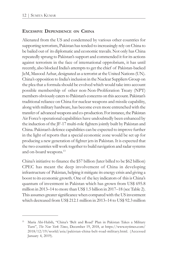#### **EXCESSIVE DEPENDENCE ON CHINA**

Alienated from the US and condemned by various other countries for supporting terrorism, Pakistan has tended to increasingly rely on China to be bailed out of its diplomatic and economic travails. Not only has China repeatedly sprung to Pakistan's support and commended it for its actions against terrorism in the face of international opprobrium, it has until recently, also blocked India's attempts to get the chief of Pakistan-backed JeM, Masood Azhar, designated as a terrorist at the United Nations (UN). China's opposition to India's inclusion in the Nuclear Suppliers Group on the plea that a formula should be evolved which would take into account possible membership of other non-Non-Proliferation Treaty (NPT) members obviously caters to Pakistan's concerns on this account. Pakistan's traditional reliance on China for nuclear weapons and missile capability, along with military hardware, has become even more entrenched with the transfer of advanced weapons and co-production. For instance, the Pakistan Air Force's operational capabilities have undoubtedly been enhanced by the induction of the JF-17 multi-role fighters jointly built by Pakistan and China. Pakistan's defence capabilities can be expected to improve further in the light of reports that a special economic zone would be set up for producing a new generation of fighter jets in Pakistan. It is expected that the two countries will work together to build navigation and radar systems and on-board weapons. 13

China's initiative to finance the \$57 billion (later billed to be \$62 billion) CPEC has meant the deep involvement of China in developing infrastructure of Pakistan, helping it mitigate its energy crisis and giving a boost to its economic growth. One of the key indicators of this is China's quantum of investment in Pakistan which has grown from US\$ 695.8 million in 2013–14 to more than US\$ 1.5 billion in 2017–18 (see Table 2). This assumes greater significance when compared with the US investment which decreased from US\$ 212.1 million in 2013–14 to US\$ 92.3 million

<sup>13</sup> Maria Abi-Habib, "China's 'Belt and Road' Plan in Pakistan Takes a Military Turn", *The New York Times*, December 19, 2018, at https://www.nytimes.com/ 2018/12/19/world/asia/pakistan-china-belt-road-military.html. (Accessed January 4, 2019).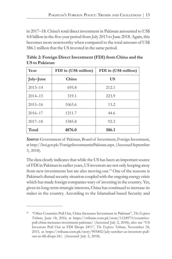in 2017–18. China's total direct investment in Pakistan amounted to US\$ 4.8 billion in the five-year period from July 2013 to June 2018. Again, this becomes more noteworthy when compared to the total amount of US\$ 586.1 million that the US invested in the same period.

| Year        | FDI in (US\$ million) | FDI in (US\$ million) |  |  |
|-------------|-----------------------|-----------------------|--|--|
| July-June   | China                 | US                    |  |  |
| $2013 - 14$ | 695.8                 | 212.1                 |  |  |
| $2014 - 15$ | 319.1                 | 223.9                 |  |  |
| $2015 - 16$ | 1063.6                | 13.2                  |  |  |
| $2016 - 17$ | 1211.7                | 44.6                  |  |  |
| $2017 - 18$ | 1585.8                | 92.3                  |  |  |
| Total       | 4876.0                | 586.1                 |  |  |

**Table 2: Foreign Direct Investment (FDI) from China and the US to Pakistan**

*Source*: Government of Pakistan, Board of Investment, Foreign Investment, at http://boi.gov.pk/ForeignInvestmentinPakistan.aspx. (Accessed September 3, 2018).

The data clearly indicates that while the US has been an important source of FDI in Pakistan in earlier years, US investors are not only keeping away from new investments but are also moving out.<sup>14</sup> One of the reasons is Pakistan's dismal security situation coupled with the ongoing energy crisis which has made foreign companies wary of investing in the country. Yet, given its long-term strategic interests, China has continued to increase its stakes in the country. According to the Islamabad-based Security and

<sup>14</sup> "Other Countries Pull Out, China Increases Investment in Pakistan", *The Express Tribune*, June 18, 2016, at https://tribune.com.pk/story/1124973/countriespull-china-increases-investment-pakistan/ (Accessed July 2, 2018); also see "US Investors Pull Out as FDI Drops 24%", *The Express Tribune*, November 18, 2015, at https://tribune.com.pk/story/993402/july-october-us-investors-pullout-as-fdi-drops-24/. (Accessed July 2, 2018).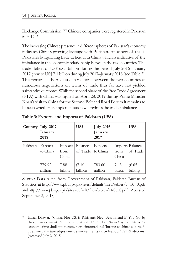Exchange Commission, 77 Chinese companies were registered in Pakistan in 2017.<sup>15</sup>

The increasing Chinese presence in different spheres of Pakistan's economy indicates China's growing leverage with Pakistan. An aspect of this is Pakistan's burgeoning trade deficit with China which is indicative of the imbalance in the economic relationship between the two countries. The trade deficit of US\$ 6.65 billion during the period July 2016–January 2017 grew to US\$ 7.1 billion during July 2017–January 2018 (see Table 3). This remains a thorny issue in relations between the two countries as numerous negotiations on terms of trade thus far have not yielded substantive outcomes. While the second phase of the Free Trade Agreement (FTA) with China was signed on April 28, 2019 during Prime Minister Khan's visit to China for the Second Belt and Road Forum it remains to be seen whether its implementation will redress the trade imbalance.

|          | Country July 2017-<br>January<br>2018 |                          | US\$                | <b>July 2016-</b><br>January<br>2017 |                 | US\$                        |
|----------|---------------------------------------|--------------------------|---------------------|--------------------------------------|-----------------|-----------------------------|
| Pakistan | <b>Exports</b><br>to China            | Imports<br>from<br>China | Balance<br>of Trade | Exports<br>to China                  | from<br>China   | Imports Balance<br>of Trade |
|          | 779.92<br>million                     | 7.88<br>billion          | (7.10)<br>billion)  | 783.60<br>million                    | 7.43<br>billion | (6.65)<br>billion)          |

**Table 3: Exports and Imports of Pakistan (US\$)**

*Source***:** Data taken from Government of Pakistan, Pakistan Bureau of Statistics, at http://www.pbs.gov.pk/sites/default/files/tables/14.07\_0.pdf and http://www.pbs.gov.pk/sites/default/files/tables/14.06\_0.pdf (Accessed September 3, 2018).

<sup>15</sup> Ismail Dilawar, "China, Not US, is Pakistan's New Best Friend if You Go by these Investment Numbers", April 13, 2017, *Bloomberg*, at https:// economictimes.indiatimes.com/news/international/business/chinas-silk-roadpush-in-pakistan-edges-out-us-investments/articleshow/58159546.cms. (Accessed July 2, 2018).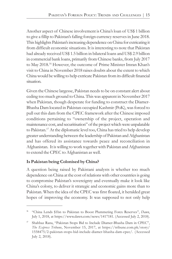Another aspect of Chinese involvement is China's loan of US\$ 1 billion to give a fillip to Pakistan's falling foreign currency reserves in June 2018. This highlights Pakistan's increasing dependence on China for extricating it from difficult economic situations. It is interesting to note that Pakistan had already received US\$ 1.5 billion in bilateral loans and US\$ 2.9 billion in commercial bank loans, primarily from Chinese banks, from July 2017 to May 2018.<sup>16</sup> However, the outcome of Prime Minister Imran Khan's visit to China in November 2018 raises doubts about the extent to which China would be willing to help extricate Pakistan from its difficult financial situation.

Given the Chinese largesse, Pakistan needs to be on constant alert about ceding too much ground to China. This was apparent in November 2017 when Pakistan, though desperate for funding to construct the Diamer-Bhasha Dam located in Pakistan-occupied Kashmir (PoK), was forced to pull out this dam from the CPEC framework after the Chinese imposed conditions pertaining to "ownership of the project, operation and maintenance cost, and securitisation" of the project which were unpalatable to Pakistan.<sup>17</sup> At the diplomatic level too, China has tried to help develop greater understanding between the leadership of Pakistan and Afghanistan and has offered its assistance towards peace and reconciliation in Afghanistan. It is willing to work together with Pakistan and Afghanistan to extend the CPEC to Afghanistan as well.

#### **Is Pakistan being Colonised by China?**

A question being raised by Pakistani analysts is whether too much dependence on China at the cost of relations with other countries is going to compromise Pakistan's sovereignty and eventually make it look like China's colony, to deliver it strategic and economic gains more than to Pakistan. When the idea of the CPEC was first floated, it heralded great hopes of improving the economy. It was supposed to not only help

<sup>16</sup> "China Lends \$1bn to Pakistan to Boost Plummeting Forex Reserves", *Dawn*, July 1, 2018, at https://www.dawn.com/news/1417181. (Accessed July 2, 2018).

<sup>17</sup> Shahbaz Rana, "Pakistan Stops Bid to Include Diamer-Bhasha Dam in CPEC", *The Express Tribune*, November 15, 2017, at https://tribune.com.pk/story/ 1558475/2-pakistan-stops-bid-include-diamer-bhasha-dam-cpec/. (Accessed July 2, 2018).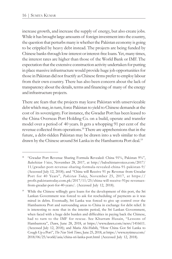increase growth, and increase the supply of energy, but also create jobs. While it has brought large amounts of foreign investment into the country, the question that perturbs many is whether the Pakistan economy is going to be crippled by heavy debt instead. The projects are being funded by Chinese banks through low-interest or interest-free loans. Yet, many times, the interest rates are higher than those of the World Bank or IMF. The expectation that the extensive construction activity undertaken for putting in place massive infrastructure would provide huge job opportunities for those in Pakistan did not fructify as Chinese firms prefer to employ labour from their own country. There has also been concern about the lack of transparency about the details, terms and financing of many of the energy and infrastructure projects.

There are fears that the projects may leave Pakistan with unserviceable debt which may, in turn, force Pakistan to yield to Chinese demands at the cost of its sovereignty. For instance, the Gwadar Port has been leased to the China Overseas Port Holding Co. on a build, operate and transfer model over a period of 40 years. It gets a whopping 91 per cent of the revenue collected from operations. <sup>18</sup> There are apprehensions that in the future, a debt-ridden Pakistan may be drawn into a web similar to that drawn by the Chinese around Sri Lanka in the Hambantota Port deal.<sup>19</sup>

<sup>18</sup> "Gwadar Port Revenue Sharing Formula Revealed: China 91%, Pakistan 9%", *Balochistan Voices*, November 28, 2017, at http://balochistanvoices.com/2017/ 11/gwadar-port-revenue-sharing-formula-revealed-china-91-pakistan-9/ (Accessed July 12, 2018); and "China will Receive 91 pc Revenue from Gwadar Port for 40 Years", *Pakistan Today*, November 25, 2017, at https:// profit.pakistantoday.com.pk/2017/11/25/china-will-receive-91pc-revenuesfrom-gwadar-port-for-40-years/. (Accessed July 12, 2018).

While the Chinese willingly gave loans for the development of this port, the Sri Lankan Government was forced to ask for rescheduling of payments as it was mired in debts. Eventually, Sri Lanka was forced to give up control over the Hambantota Port and surrounding areas to China in exchange for debt relief. It is interesting to note that in the interim period, the Sri Lankan Government, when faced with a huge debt burden and difficulties in paying back the Chinese, had to turn to the IMF for rescue. See Khurram Husain, "Lessons of Hambantota", *Dawn*, June 28, 2018, at https://www.dawn.com/news/1416611. (Accessed July 12, 2018); and Maria Abi-Habib, "How China Got Sri Lanka to Cough Up a Port", *The New York Times*, June 25, 2018, at https://www.nytimes.com/ 2018/06/25/world/asia/china-sri-lanka-port.html (Accessed July 12, 2018).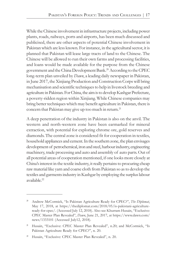While the Chinese involvement in infrastructure projects, including power plants, roads, railways, ports and airports, has been much discussed and publicised, there are other aspects of potential Chinese involvement in Pakistan which are less known. For instance, in the agricultural sector, it is planned that Pakistan will lease large tracts of land to the Chinese. The Chinese will be allowed to run their own farms and processing facilities, and loans would be made available for the purpose from the Chinese government and the China Development Bank.<sup>20</sup> According to the CPEC long-term plan unveiled by *Dawn*, a leading daily newspaper in Pakistan, in June 2017, the Xinjiang Production and Construction Corps will bring mechanisation and scientific techniques to help in livestock breeding and agriculture in Pakistan. For China, the aim is to develop Kashgar Prefecture, a poverty-ridden region within Xinjiang. While Chinese companies may bring better techniques which may benefit agriculture in Pakistan, there is concern that Pakistan may give up too much in return.<sup>21</sup>

A deep penetration of the industry in Pakistan is also on the anvil. The western and north-western zone have been earmarked for mineral extraction, with potential for exploring chrome ore, gold reserves and diamonds. The central zone is considered fit for cooperation in textiles, household appliances and cement. In the southern zone, the plan envisages development of petrochemical, iron and steel, harbour industry, engineering machinery, trade processing and auto and assembly of auto parts. Out of all potential areas of cooperation mentioned, if one looks more closely at China's interest in the textile industry, it really pertains to procuring cheap raw material like yarn and coarse cloth from Pakistan so as to develop the textiles and garments industry in Kashgar by employing the surplus labour available.<sup>22</sup>

<sup>20</sup> Andrew McCormick, "Is Pakistan Agriculture Ready for CPEC?", *The Diplomat*, May 17, 2018, at https://thediplomat.com/2018/05/is-pakistani-agricultureready-for-cpec/. (Accessed July 12, 2018). Also see Khurram Husain, "Exclusive: CPEC Master Plan Revealed", *Dawn*, June 21, 2017, at https://www.dawn.com/ news/1333101 (Accessed July12, 2018).

<sup>&</sup>lt;sup>21</sup> Husain, "Exclusive: CPEC Master Plan Revealed", n.20; and McCormick, "Is Pakistan Agriculture Ready for CPEC?", n. 20.

Husain, "Exclusive: CPEC Master Plan Revealed", n. 20.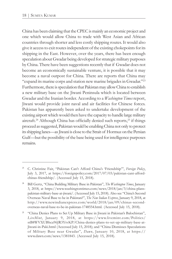China has been claiming that the CPEC is mainly an economic project and one which would allow China to trade with West Asian and African countries through shorter and less costly shipping routes. It would also give it access to exit routes independent of the existing chokepoints for its shipping in the East. However, over the years, there has been enough speculation about Gwadar being developed for strategic military purposes by China. There have been suggestions recently that if Gwadar does not become an economically sustainable venture, it is possible that it may become a naval outpost for China. There are reports that China may "expand its marine corps and station new marine brigades in Gwadar."<sup>23</sup> Furthermore, there is speculation that Pakistan may allow China to establish a new military base on the Jiwani Peninsula which is located between Gwadar and the Iranian border. According to a *Washington Times* report, Jiwani would provide joint naval and air facilities for Chinese forces. Pakistan has apparently been asked to undertake development of the existing airport which would then have the capacity to handle large military aircraft.<sup>24</sup> Although China has officially denied such reports,<sup>25</sup> if things proceed as suggested, Pakistan would be enabling China not only to protect its shipping lanes—as Jiwani is close to the Strait of Hormuz on the Persian Gulf—but the possibility of the base being used for intelligence purposes remains.

<sup>23</sup> C. Christine Fair, "Pakistan Can't Afford China's 'Friendship'", *Foreign Policy*, July 3, 2017, at https://foreignpolicy.com/2017/07/03/pakistan-cant-affordchinas-friendship/. (Accessed July 15, 2018).

<sup>24</sup> Bill Gertz, "China Building Military Base in Pakistan", *The Washington Times*, January 3, 2018, at https://www.washingtontimes.com/news/2018/jan/3/china-planspakistan-military-base-at-jiwani/. (Accessed July 15, 2018). Also see "China's Second Overseas Naval Base to be in Pakistan?", *The New Indian Express*, January 9, 2018, at http://www.newindianexpress.com/world/2018/jan/09/chinas-secondoverseas-naval-base-to-be-in-pakistan-1748554.html. (Accessed July 15, 2018).

<sup>25</sup> "China Denies Plans to Set Up Military Base in Jiwani in Pakistan's Balochistan", *LiveMint*, January 9, 2018, at https://www.livemint.com/Politics/ stB8WVXUBhca96JR3YtvKP/China-denies-plans-to-set-up-military-base-at-Jiwani-in-Paki.html (Accessed July 15, 2018); and "China Dismisses Speculations of Military Base near Gwadar", *Dawn*, January 10, 2018, at https:// www.dawn.com/news/1381843. (Accessed July 15, 2018).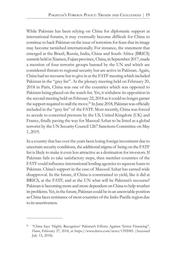While Pakistan has been relying on China for diplomatic support at international forums, it may eventually become difficult for China to continue to back Pakistan on the issue of terrorism for fears that its image may become tarnished internationally. For instance, the statement that emerged at the Brazil, Russia, India, China and South Africa (BRICS) summit held in Xiamen, Fujian province, China, in September 2017, made a mention of four terrorist groups banned by the UN and which are considered threats to regional security but are active in Pakistan. Again, China had no recourse but to give in at the FATF meeting which included Pakistan in the "grey list". At the plenary meeting held on February 20, 2018 in Paris, China was one of the countries which was opposed to Pakistan being placed on the watch list. Yet, it withdrew its opposition in the second meeting held on February 22, 2018 as it could no longer garner the support required to stall the move.<sup>26</sup> In June 2018, Pakistan was officially included in the "grey list" of the FATF. Most recently, China was forced to accede to concerted pressure by the US, United Kingdom (UK) and France, finally paving the way for Masood Azhar to be listed as a global terrorist by the UN Security Council 1267 Sanctions Committee on May 1, 2019.

In a country that has over the years been losing foreign investment due to uncertain security conditions, the additional stigma of being on the FATF list is likely to make it even less attractive as a destination for investors. If Pakistan fails to take satisfactory steps, then member countries of the FATF could influence international lending agencies to squeeze loans to Pakistan. China's support in the case of Masood Azhar has earned wide disapproval. In the future, if China is constrained to yield, like it did at BRICS, at the FATF, and at the UN what will be Pakistan's recourse? Pakistan is becoming more and more dependent on China to help weather its problems. Yet, in the future, Pakistan could be in an unenviable position as China faces resistance of most countries of the Indo-Pacific region due to its assertiveness.

<sup>&</sup>lt;sup>26</sup> "China Says 'Highly Recognises' Pakistan's Efforts Against Terror Financing", *Dawn*, February 27, 2018, at https://www.dawn.com/news/1392085. (Accessed July 15, 2018).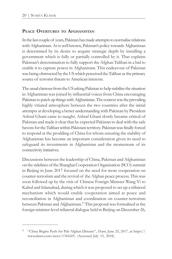#### **PEACE OVERTURES TO AFGHANISTAN**

In the last couple of years, Pakistan has made attempts to normalise relations with Afghanistan.As is well known, Pakistan's policy towards Afghanistan is determined by its desire to acquire strategic depth by installing a government which is fully or partially controlled by it. That explains Pakistan's determination to fully support the Afghan Taliban in a bid to enable it to capture power in Afghanistan. This endeavour of Pakistan was being obstructed by the US which perceived the Taliban as the primary source of terrorist threats to American interests.

The usual clamour from the US asking Pakistan to help stabilise the situation in Afghanistan was joined by influential voices from China encouraging Pakistan to patch up things with Afghanistan. The context was the prevailing highly vitiated atmosphere between the two countries after the initial attempts at developing a better understanding with Pakistan by President Ashraf Ghani came to naught. Ashraf Ghani slowly became critical of Pakistan and made it clear that he expected Pakistan to deal with the safe havens for the Taliban within Pakistani territory. Pakistan was finally forced to respond at the prodding of China for whom ensuring the stability of Afghanistan has become an important consideration given its need to safeguard its investments in Afghanistan and the momentum of its connectivity initiatives.

Discussions between the leadership of China, Pakistan and Afghanistan on the sidelines of the Shanghai Cooperation Organisation (SCO) summit in Beijing in June 2017 focused on the need for more cooperation on counter-terrorism and the revival of the Afghan peace process. This was soon followed up by the visit of Chinese Foreign Minister Wang Yi to Kabul and Islamabad, during which it was proposed to set up a trilateral mechanism which would enable cooperation aimed at peace and reconciliation in Afghanistan and coordination on counter-terrorism between Pakistan and Afghanistan.<sup>27</sup>This proposal was formalised at the foreign minister-level trilateral dialogue held in Beijing on December 26,

<sup>27</sup> "China Begins Push for Pak-Afghan Détente", *Dawn*, June 25, 2017, at https:// www.dawn.com/news/1341605. (Accessed July 15, 2018).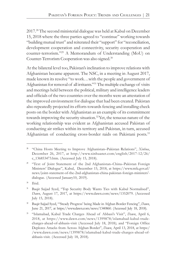2017.<sup>28</sup> The second ministerial dialogue was held at Kabul on December 15, 2018 where the three parties agreed to "continue" working towards "building mutual trust" and reiterated their "support" for "reconciliation, development cooperation and connectivity, security cooperation and counter-terrorism."<sup>29</sup> A Memorandum of Understanding (MoU) on Counter-Terrorism Cooperation was also signed.<sup>30</sup>

At the bilateral level too, Pakistan's inclination to improve relations with Afghanistan became apparent. The NSC, in a meeting in August 2017, made known its resolve "to work…with the people and government of Afghanistan for removal of all irritants."<sup>31</sup> The multiple exchange of visits and meetings held between the political, military and intelligence leaders and officials of the two countries over the months were an attestation of the improved environment for dialogue that had been created. Pakistan also repeatedly projected its efforts towards fencing and installing check posts on the border with Afghanistan as an example of its commitment towards improving the security situation.<sup>32</sup> Yet, the tenuous nature of the working relationship was evident as Afghanistan accused Pakistan of conducting air strikes within its territory and Pakistan, in turn, accused Afghanistan of conducting cross-border raids on Pakistani posts. 33

 $30$  Ibid.

<sup>28</sup> "China Hosts Meeting to Improve Afghanistan–Pakistan Relations", *Xinhua*, December 26, 2017, at http://www.xinhuanet.com/english/2017-12/26/ c\_136853473.htm. (Accessed July 15, 2018).

<sup>&</sup>lt;sup>29</sup> "Text of Joint Statement of the 2nd Afghanistan–China–Pakistan Foreign Ministers' Dialogue", Kabul, December 15, 2018, at https://www.mfa.gov.af/ news/joint-statement-of-the-2nd-afghanistan-china-pakistan-foreign-ministers' dialogue. (Accessed January10, 2019).

<sup>&</sup>lt;sup>31</sup> Baqir Sajjad Syed, "Top Security Body Wants Ties with Kabul Normalised", *Dawn*, August 17, 2017, at https://www.dawn.com/news/1352079. (Accessed July 15, 2018).

<sup>32</sup> Baqir Sajjad Syed, "'Steady Progress' being Made in Afghan Border Fencing", *Dawn*, June 21, 2017, at https://www.dawn.com/news/1340860. (Accessed July 18, 2018).

<sup>33</sup> "Islamabad, Kabul Trade Charges Ahead of Abbasi's Visit", *Dawn*, April 6, 2018, at https://www.dawn.com/news/1399878/islamabad-kabul-tradecharges-ahead-of-abbasis-visit (Accessed July 18, 2018); and "Foreign Office Deplores Attacks from Across Afghan Border", *Dawn*, April 13, 2018, at https:/ /www.dawn.com/news/1399878/islamabad-kabul-trade-charges-ahead-ofabbasis-visit. (Accessed July 18, 2018).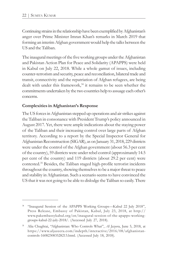Continuing strains in the relationship have been exemplified by Afghanistan's anger over Prime Minister Imran Khan's remarks in March 2019 that forming an interim Afghan government would help the talks between the US and the Taliban.

The inaugural meetings of the five working groups under the Afghanistan and Pakistan Action Plan for Peace and Solidarity (APAPPS) were held in Kabul on July 22, 2018. While a whole gamut of issues, including counter-terrorism and security, peace and reconciliation, bilateral trade and transit, connectivity and the repatriation of Afghan refugees, are being dealt with under this framework,<sup>34</sup> it remains to be seen whether the commitments undertaken by the two countries help to assuage each other's concerns.

#### **Complexities in Afghanistan's Response**

The US forces in Afghanistan stepped up operations and air strikes against the Taliban in consonance with President Trump's policy announced in August 2017. Yet, there were ample indications about the staying power of the Taliban and their increasing control over large parts of Afghan territory. According to a report by the Special Inspector General for Afghanistan Reconstruction (SIGAR), as on January 31, 2018, 229 districts were under the control of the Afghan government (about 56.3 per cent of the country), 59 districts were under rebel control (approximately 14.5 per cent of the country) and 119 districts (about 29.2 per cent) were contested.<sup>35</sup> Besides, the Taliban staged high-profile terrorist incidents throughout the country, showing themselves to be a major threat to peace and stability in Afghanistan. Such a scenario seems to have convinced the US that it was not going to be able to dislodge the Taliban so easily. There

<sup>&</sup>lt;sup>34</sup> "Inaugural Session of the APAPPS Working Groups—Kabul 22 July 2018", Press Release, Embassy of Pakistan, Kabul, July 23, 2018, at http:// www.pakembassykabul.org/en/inaugural-session-of-the-apapps-workinggroups-kabul-22-july-2018/. (Accessed July 27, 2018).

<sup>35</sup> Alia Chughtai, "Afghanistan: Who Controls What", *Al Jazeera*, June 5, 2018, at https://www.aljazeera.com/indepth/interactive/2016/08/afghanistancontrols-160823083528213.html. (Accessed July 18, 2018).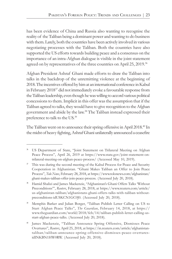has been evidence of China and Russia also wanting to recognise the reality of the Taliban being a dominant power and wanting to do business with them. Lately, both the countries have been actively involved in various negotiating processes with the Taliban. Both the countries have also supported the US efforts towards building peace and a consensus on the importance of an intra-Afghan dialogue is visible in the joint statement agreed on by representatives of the three countries on April 25, 2019.<sup>36</sup>

Afghan President Ashraf Ghani made efforts to draw the Taliban into talks in the backdrop of the unremitting violence at the beginning of 2018. The incentives offered by him at an international conference in Kabul in February 2018<sup>37</sup> did not immediately evoke a favourable response from the Taliban leadership, even though he was willing to accord various political concessions to them. Implicit in this offer was the assumption that if the Taliban agreed to talks, they would have to give recognition to the Afghan government and abide by the law.<sup>38</sup> The Taliban instead expressed their preference to talk to the US.<sup>39</sup>

The Taliban went on to announce their spring offensive in April 2018.<sup>40</sup> In the midst of heavy fighting, Ashraf Ghani unilaterally announced a ceasefire

<sup>39</sup> Memphis Barker and Julian Borger, "Taliban Publish Letter Calling on US to Start Afghan Peace Talks", *The Guardian*, February 14, 2018, at https:// www.theguardian.com/world/2018/feb/14/taliban-publish-letter-calling-usstart-afghan-peace-talks. (Accessed July 20, 2018).

<sup>&</sup>lt;sup>36</sup> US Department of State, "Joint Statement on Trilateral Meeting on Afghan Peace Process", April 26, 2019 at https://www.state.gov/joint-statement-ontrilateral-meeting-on-afghan-peace-process/ (Accessed May 10, 2019).

This was during the second meeting of the Kabul Process for Peace and Security Cooperation in Afghanistan. "Ghani Makes Taliban an Offer to Join Peace Process", *Tolo News*, February 28, 2018, at https://www.tolonews.com/afghanistan/ ghani-makes-taliban-offer-join-peace-process. (Accessed July 20, 2018).

<sup>38</sup> Hamid Shalizi and James Mackenzie, "Afghanistan's Ghani Offers Talks 'Without Preconditions'", *Reuters*, February 28, 2018, at https://www.reuters.com/article/ us-afghanistan-taliban/afghanistans-ghani-offers-talks-with-taliban-withoutpreconditions-idUSKCN1GC0J0. (Accessed July 20, 2018).

<sup>40</sup> James Mackenzie, "Taliban Announce Spring Offensive, Dismisses Peace Overtures", *Reuters*, April 25, 2018, at https://in.reuters.com/article/afghanistantaliban/taliban-announce-spring-offensive-dismisses-peace-overturesidINKBN1HW0RW. (Accessed July 20, 2018).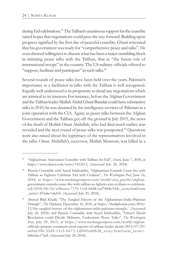during Eid celebrations. <sup>41</sup> The Taliban's unanimous support for the ceasefire raised hopes that negotiations could pave the way forward. Building upon progress signified by the first day of peaceful ceasefire, Ghani reiterated that his government was ready for "comprehensive peace and talks". He even showed willingness to discuss what has been a major stumbling block in initiating peace talks with the Taliban, that is, "the future role of international troops" in the country. The US military officials offered to "support, facilitate and participate" in such talks.<sup>42</sup>

Several rounds of peace talks have been held over the years. Pakistan's importance as a facilitator in talks with the Taliban is well recognised. Equally well understood is its propensity to derail any negotiations which are inimical to its interests. For instance, before the Afghan Government and the Taliban leader Mullah Abdul Ghani Baradar could have substantive talks in 2010, he was detained by the intelligence services of Pakistan in a joint operation with the CIA. Again, as peace talks between the Afghan Government and the Taliban got off the ground in July 2015, the news of the death of Mullah Omar Abdullah, who had died much earlier, was revealed and the next round of peace talks was postponed.<sup>43</sup> Questions were also raised about the legitimacy of the representatives involved in the talks. Omar Abdullah's successor, Mullah Mansour, was killed in a

<sup>41</sup> "Afghanistan Announces Ceasefire with Taliban for Eid", *Dawn*, June 7, 2018, at https://www.dawn.com/news/1412613. (Accessed July 20, 2018).

<sup>42</sup> Pamela Constable with Sayed Salahuddin, "Afghanistan Extends Cease-fire with Taliban as Fighters Celebrate Eid with Civilians", *The Washington Post*, June 16, 2018, at https://www.washingtonpost.com/world/asia\_pacific/afghangovernment-extends-cease-fire-with-taliban-as-fighters-join-civilians-to-celebrateeid/2018/06/16/a3fcecce-7170-11e8-b4d8-eaf78d4c544c\_story.html?utm \_term=.876abc7a6d1b. (Accessed July 20, 2018).

<sup>43</sup> Ahmad Bilal Khalil, "The Tangled History of the Afghanistan–India–Pakistan Triangle", *The Diplomat*, December 16, 2016, at https://thediplomat.com/2016/ 12/the-tangled-history-of-the-afghanistan-india-pakistan-triangle/ (Accessed July 20, 2018); and Pamela Constable with Sayed Salahuddin, "Omar's Death Revelation could Divide Militants, Undermine Peace Talks", *The Washington Post*, July 29, 2015, at https://www.washingtonpost.com/world/afghanofficials-prepare-comment-amid-reports-of-taliban-leader-death/2015/07/29/ a60a6396-35d9-11e5-b673-1df005a0fb28\_stor y.html?utm\_term=. b6bc6ae17ae8. (Accessed July 20, 2018).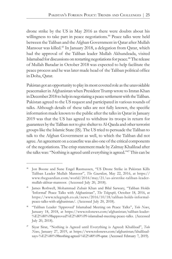drone strike by the US in May 2016 as there were doubts about his willingness to take part in peace negotiations. <sup>44</sup> Peace talks were held between the Taliban and the Afghan Government in Qatar after Mullah Mansour was killed.<sup>45</sup> In January 2018, a delegation from Qatar, which had the approval of the Taliban leader Mullah Akhundzada, visited Islamabad for discussions on restarting negotiations for peace.<sup>46</sup> The release of Mullah Baradar in October 2018 was expected to help facilitate the peace process and he was later made head of the Taliban political office in Doha, Qatar.

Pakistan got an opportunity to play its most coveted role as the unavoidable peacemaker in Afghanistan when President Trump wrote to Imran Khan in December 2018 to help in negotiating a peace settlement with the Taliban. Pakistan agreed to the US request and participated in various rounds of talks. Although details of these talks are not fully known, the specific information made known to the public after the talks in Qatar in January 2019 was that the US has agreed to withdraw its troops in return for guarantees by the Taliban not to give shelter to Al-Qaeda and other terrorist groups like the Islamic State (IS). The US tried to persuade the Taliban to talk to the Afghan Government as well, to which the Taliban did not agree. An agreement on a ceasefire was also one of the critical components of the negotiations. The crisp statement made by Zalmay Khalilzad after the talks was: "Nothing is agreed until everything is agreed."<sup>47</sup> This can be

<sup>44</sup> Jon Boone and Sune Engel Rasmussen, "US Drone Strike in Pakistan Kills Taliban Leader Mullah Mansoor", *The Guardian*, May 22, 2016, at https:// www.theguardian.com/world/2016/may/21/us-airstrike-taliban-leadermullah-akhtar-mansoor. (Accessed July 20, 2018).

<sup>45</sup> James Rothwell, Mohammad Zubair Khan and Bilal Sarwary, "Taliban Holds 'Informal' Peace Talks with Afghanistan", *The Telegraph*, October 18, 2016, at https://www.telegraph.co.uk/news/2016/10/18/taliban-holds-informalpeace-talks-with-afghanistan/. (Accessed July 20, 2018).

<sup>46</sup> "Taliban Leader 'Approved' Islamabad Meeting on Peace Talks", *Tolo News*, January 18, 2018, at https://www.tolonews.com/afghanistan/taliban-leader- %E2%80%98approved%E2%80%99-islamabad-meeting-peace-talks. (Accessed July 20, 2018).

<sup>47</sup> Siyar Sirat, "Nothing is Agreed until Everything is Agreed: Khalilzad", *Tolo News*, January 27, 2019, at https://www.tolonews.com/afghanistan/khalilzadsays-%E2%80%98nothing-agreed-%E2%80%99-qatar. (Accessed February 7, 2019).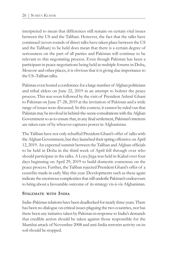interpreted to mean that differences still remain on certain vital issues between the US and the Taliban. However, the fact that the talks have continued (seven rounds of direct talks have taken place between the US and the Taliban) to be held does mean that there is a certain degree of seriousness on the part of all parties and Pakistan will continue to be relevant to this negotiating process. Even though Pakistan has been a participant in peace negotiations being held at multiple forums in Doha, Moscow and other places, it is obvious that it is giving due importance to the US–Taliban talks.

Pakistan even hosted a conference for a large number of Afghan politicians and tribal elders on June 22, 2019 in an attempt to bolster the peace process. This was soon followed by the visit of President Ashraf Ghani to Pakistan on June 27-28, 2019 at the invitation of Pakistan and a wide range of issues were discussed. In this context, it cannot be ruled out that Pakistan may be involved in behind-the-scene consultations with the Afghan Government so as to ensure that, in any final settlement, Pakistan's interests are taken care of by whoever captures power in Afghanistan.

The Taliban have not only rebuffed President Ghani's offer of talks with the Afghan Government, but they launched their spring offensive on April 12, 2019. An expected summit between the Taliban and Afghan officials to be held in Doha in the third week of April fell through over who should participate in the talks. A Loya Jirga was held in Kabul over four days beginning on April 29, 2019 to build domestic consensus on the peace process. Further, the Taliban rejected President Ghani's offer of a ceasefire made in early May this year. Developments such as these again indicate the enormous complexities that still underlie Pakistan's endeavours to bring about a favourable outcome of its strategy vis-à-vis Afghanistan.

#### **STALEMATE WITH INDIA**

India–Pakistan relations have been deadlocked for nearly three years. There has been no dialogue on critical issues plaguing the two countries, nor has there been any initiative taken by Pakistan in response to India's demands that credible action should be taken against those responsible for the Mumbai attack of November 2008 and anti-India terrorist activity on its soil should be stopped.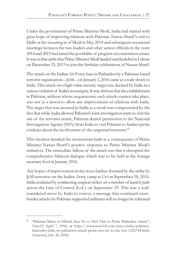Under the government of Prime Minister Modi, India had started with great hope of improving relations with Pakistan. Nawaz Sharif's visit to Delhi at the swearing in of Modi in May 2014 and subsequent occasional meetings between the two leaders and other senior officials in the years 2014 and 2015 had raised the possibility of progress on contentious issues. It was in that spirit that Prime Minister Modi landed unscheduled in Lahore on December 25, 2015 to join the birthday celebrations of Nawaz Sharif.

The attack on the Indian Air Force base in Pathankot by a Pakistan-based terrorist organisation—JeM—on January 2, 2016 came as a rude shock to India. This attack on a high-value security target was deemed by India as a serious violation of India's sovereignty. It was obvious that the establishment in Pakistan, without whose acquiescence such attacks cannot take place, was not in a mood to allow any improvement of relations with India. The anger that was aroused in India as a result was compounded by the fact that while India allowed Pakistan's joint investigation team to visit the site of the terrorist attack, Pakistan denied permission to the National Investigation Agency (NIA) from India to visit Pakistan to further probe evidence about the involvement of the suspected terrorists.<sup>48</sup>

This incident derailed the momentum built as a consequence of Prime Minister Nawaz Sharif's positive response to Prime Minister Modi's initiatives. The immediate fallout of the attack was that it disrupted the comprehensive bilateral dialogue which was to be held at the foreign secretary level in January 2016.

Any hopes of improvement in ties were further doomed by the strike by JeM terrorists on the Indian Army camp at Uri on September 18, 2016. India retaliated by conducting surgical strikes on a number of launch pads across the Line of Control (LoC) on September 29. This was a wellconsidered move by India to convey a message that continued crossborder attacks by Pakistan supported militants will no longer be tolerated

<sup>48</sup> "Pakistan Makes it Official, Says No to NIA Visit to Probe Pathankot Attack", *News18*, April 7, 2016, at https://www.news18.com/news/india/pakistanbackstabs-india-on-pathankot-attack-probe-says-no-to-nia-visit-1226754.html. (Accessed, July 30, 2018).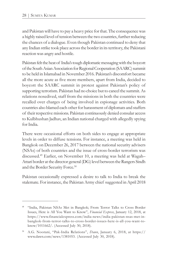and Pakistan will have to pay a heavy price for that. The consequence was a highly raised level of tension between the two countries, further reducing the chances of a dialogue. Even though Pakistan continued to deny that any Indian strike took place across the border in its territory, the Pakistani reaction was angry and hostile.

Pakistan felt the heat of India's tough diplomatic messaging with the boycott of the South Asian Association for Regional Cooperation (SAARC) summit to be held in Islamabad in November 2016. Pakistan's discomfort became all the more acute as five more members, apart from India, decided to boycott the SAARC summit in protest against Pakistan's policy of supporting terrorism. Pakistan had no choice but to cancel the summit. As relations nosedived, staff from the missions in both the countries were recalled over charges of being involved in espionage activities. Both countries also blamed each other for harassment of diplomats and staffers of their respective missions. Pakistan continuously denied consular access to Kulbhushan Jadhav, an Indian national charged with allegedly spying for India.

There were occasional efforts on both sides to engage at appropriate levels in order to diffuse tensions. For instance, a meeting was held in Bangkok on December 26, 2017 between the national security advisers (NSAs) of both countries and the issue of cross-border terrorism was discussed.<sup>49</sup> Earlier, on November 10, a meeting was held at Wagah– Attari border at the director general (DG) level between the Rangers Sindh and the Border Security Force. 50

Pakistan occasionally expressed a desire to talk to India to break the stalemate. For instance, the Pakistan Army chief suggested in April 2018

<sup>49</sup> "India, Pakistan NSAs Met in Bangkok; From Terror Talks to Cross Border Issues, Here is All You Want to Know", *Financial Express*, January 12, 2018, at https://www.financialexpress.com/india-news/india-pakistan-nsas-met-inbangkok-from-terror-talks-to-cross-border-issues-here-is-all-you-want-toknow/1011662/. (Accessed July 30, 2018).

<sup>50</sup> A.G. Noorani, "Pak-India Relations", *Dawn*, January 6, 2018, at https:// www.dawn.com/news/1381053. (Accessed July 30, 2018).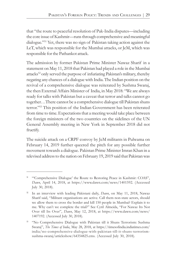that "the route to peaceful resolution of Pak-India disputes—including the core issue of Kashmir—runs through comprehensive and meaningful dialogue."<sup>51</sup> Yet, there was no sign of Pakistan taking action against the LeT, which was responsible for the Mumbai attacks, or JeM, which was responsible for the Pathankot attack.

The admission by former Pakistan Prime Minister Nawaz Sharif in a statement on May 11, 2018 that Pakistan had played a role in the Mumbai attacks<sup>52</sup> only served the purpose of infuriating Pakistan's military, thereby negating any chances of a dialogue with India. The Indian position on the revival of a comprehensive dialogue was reiterated by Sushma Swaraj, the then External Affairs Minister of India, in May 2018: "We are always ready for talks with Pakistan but a caveat that terror and talks cannot go together…There cannot be a comprehensive dialogue till Pakistan shuns terror."<sup>53</sup> This position of the Indian Government has been reiterated from time to time. Expectations that a meeting would take place between the foreign ministers of the two countries on the sidelines of the UN General Assembly meeting in New York in September 2018 did not fructify.

The suicide attack on a CRPF convoy by JeM militants in Pulwama on February 14, 2019 further queered the pitch for any possible further movement towards a dialogue. Pakistan Prime Minister Imran Khan in a televised address to the nation on February 19, 2019 said that Pakistan was

<sup>&</sup>lt;sup>51</sup> "Comprehensive Dialogue' the Route to Restoring Peace in Kashmir: COAS", *Dawn*, April 14, 2018, at https://www.dawn.com/news/1401592. (Accessed July 30, 2018).

<sup>52</sup> In an interview with leading Pakistani daily, *Dawn*, on May 11, 2018, Nawaz Sharif said, "Militant organisations are active. Call them non-state actors, should we allow them to cross the border and kill 150 people in Mumbai? Explain it to me. Why can't we complete the trial?" See Cyril Almeida, "For Nawaz Its Not Over till Its Over", *Dawn*, May 12, 2018, at https://www.dawn.com/news/ 1407192. (Accessed July 30, 2018).

<sup>53</sup> "No Comprehensive Dialogue with Pakistan till it Shuns Terrorism: Sushma Swaraj", *The Times of India*, May 28, 2018, at https://timesofindia.indiatimes.com/ india/no-comprehensive-dialogue-with-pakistan-till-it-shuns-terrorismsushma-swaraj/articleshow/64354825.cms. (Accessed July 30, 2018).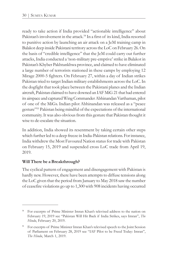ready to take action if India provided "actionable intelligence" about Pakistan's involvement in the attack.<sup>54</sup> In a first of its kind, India resorted to punitive action by launching an air attack on a JeM training camp in Balakot deep inside Pakistani territory across the LoC on February 26. On the basis of "credible intelligence" that the JeM could carry out further attacks, India conducted a 'non-military pre-emptive' strike in Balakot in Pakistan's Khyber Pakhtunkhwa province, and claimed to have eliminated a large number of terrorists stationed in these camps by employing 12 Mirage 2000-5 fighters. On February 27, within a day of Indian strikes Pakistan tried to target Indian military establishments across the LoC. In the dogfight that took place between the Pakistani planes and the Indian aircraft, Pakistan claimed to have downed an IAF MiG 21 that had entered its airspace and captured Wing Commander Abhinandan Varthaman, pilot of one of the MiGs. Indian pilot Abhinandan was released as a "peace gesture"<sup>55</sup> Pakistan being mindful of the expectations of the international community. It was also obvious from this gesture that Pakistan thought it wise to de-escalate the situation.

In addition, India showed its resentment by taking certain other steps which further led to a deep freeze in India-Pakistan relations. For instance, India withdrew the Most Favoured Nation status for trade with Pakistan on February 15, 2019 and suspended cross LoC trade from April 19, 2019.

#### **Will There be a Breakthrough?**

The cyclical pattern of engagement and disengagement with Pakistan is hardly new. However, there have been attempts to diffuse tensions along the LoC given that the period from January to May 2018 saw the number of ceasefire violations go up to 1,300 with 908 incidents having occurred

<sup>54</sup> For excerpts of Prime Minister Imran Khan's televised address to the nation on February 19, 2019 see "Pakistan Will Hit Back if India Strikes, says Imran", *The Hindu*, February 20, 2019.

<sup>55</sup> For excerpts of Prime Minister Imran Khan's televised speech to the Joint Session of Parliament on February 28, 2019 see "IAF Pilot to be Freed Today: Imran", *The Hindu*, March 1, 2019.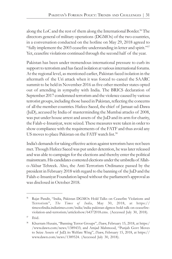along the LoC and the rest of them along the International Border. <sup>56</sup> The directors general of military operations (DGMOs) of the two countries, in a conversation conducted on the hotline on May 29, 2018 agreed to "fully implement the 2003 ceasefire understanding in letter and spirit."<sup>57</sup> Yet, ceasefire violations continued through the second half of the year.

Pakistan has been under tremendous international pressure to curb its support to terrorism and has faced isolation at various international forums. At the regional level, as mentioned earlier, Pakistan faced isolation in the aftermath of the Uri attack when it was forced to cancel the SAARC summit to be held in November 2016 as five other member states opted out of attending in sympathy with India. The BRICS declaration of September 2017 condemned terrorism and the violence caused by various terrorist groups, including those based in Pakistan, reflecting the concerns of all the member countries. Hafeez Saeed, the chief of Jamaat-ud-Dawa (JuD), accused by India of masterminding the Mumbai attacks of 2008, was put under house arrest and assets of the JuD and its arm for charity, the Falah-e-Insaniyat, were seized. These measures were taken in order to show compliance with the requirements of the FATF and thus avoid any US moves to place Pakistan on the FATF watch list.<sup>58</sup>

India's demands for taking effective action against terrorism have not been met. Though Hafeez Saeed was put under detention, he was later released and was able to campaign for the elections and thereby enter the political mainstream. His candidates contested elections under the umbrella of Allaho-Akbar Tehreek. Also, the Anti-Terrorism Ordinance passed by the president in February 2018 with regard to the banning of the JuD and the Falah-e-Insaniyat Foundation lapsed without the parliament's approval as was disclosed in October 2018.

<sup>56</sup> Rajat Pandit, "India, Pakistan DGMOs Hold Talks on Ceasefire Violations and Terrorism", *The Times of India*, May 30, 2018, at https:// timesofindia.indiatimes.com/india/india-pakistan-dgmos-hold-talk-on-ceasefireviolation-and-terrorism/articleshow/64372018.cms. (Accessed July 30, 2018).

 $57$  Ibid.

<sup>58</sup> Khurram Husain, "Banning Terror Groups", *Dawn*, February 15, 2018, at https:/ /www.dawn.com/news/1389433; and Amjad Mahmood, "Punjab Govt Moves to Seize Assets of JuD, its Welfare Wing", *Dawn*, February 15, 2018, at https:// www.dawn.com/news/1389524. (Accessed July 30, 2018).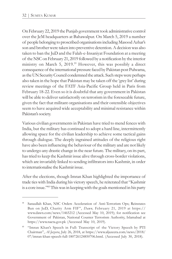On February 22, 2019 the Punjab government took administrative control over the JeM headquarters at Bahawalpur. On March 5, 2019 a number of people belonging to proscribed organisations including Masood Azhar's son and brother were taken into preventive detention. A decision was also taken to ban the JuD and the Falah-e-Insaniyat Foundation at a meeting of the NSC on February 21, 2019 followed by a notification by the interior ministry on March 5, 2019.<sup>59</sup> However, this was possibly a direct consequence of the international pressure faced by Pakistan post Pulwama, as the UN Security Council condemned the attack. Such steps were perhaps also taken in the hope that Pakistan may be taken off the 'grey list' during review meetings of the FATF Asia-Pacific Group held in Paris from February 18-22. Even so it is doubtful that any government in Pakistan will be able to deliver satisfactorily on terrorism in the foreseeable future, given the fact that militant organisations and their ostensible objectives seem to have acquired wide acceptability and minimal resistance within Pakistan's society.

Various civilian governments in Pakistan have tried to mend fences with India, but the military has continued to adopt a hard line, intermittently allowing space for the civilian leadership to achieve some tactical gains through dialogue. The deeply ingrained attitudes of the religious right have also been influencing the behaviour of the military and are not likely to undergo any drastic change in the near future. The military, on its part, has tried to keep the Kashmir issue alive through cross-border violations, which are invariably linked to sending infiltrators into Kashmir, in order to internationalise the Kashmir issue.

After the elections, though Imran Khan highlighted the importance of trade ties with India during his victory speech, he reiterated that "Kashmir is a core issue."<sup>60</sup> This was in keeping with the goals mentioned in his party

Sanaullah Khan, NSC Orders Acceleration of Anti-Terrorism Ops; Reinstates Ban on JuD, Charity Arm FIF", *Dawn,* February 21, 2019 at https:// www.dawn.com/news/1465212 (Accessed May 10, 2019); for notification see Government of Pakistan, National Counter Terrorism Authority, Islamabad at https://www.nacta.gov.pk (Accessed May 10, 2019).

<sup>60</sup> "Imran Khan's Speech in Full: Transcript of the Victory Speech by PTI Chairman", *Al Jazeera*, July 26, 2018, at https://www.aljazeera.com/news/2018/ 07/imran-khan-speech-full-180726124850706.html. (Accessed July 30, 2018).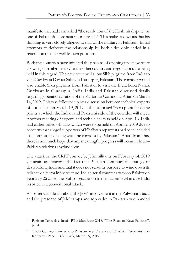manifesto that had earmarked "the resolution of the Kashmir dispute" as one of Pakistan's "core national interests".<sup>61</sup> This makes it obvious that his thinking is very closely aligned to that of the military in Pakistan. Initial attempts to defreeze the relationship by both sides only ended in a reiteration of their well-known positions.

Both the countries have initiated the process of opening up a new route allowing Sikh pilgrims to visit the other country and negotiations are being held in this regard. The new route will allow Sikh pilgrims from India to visit Gurdwara Darbar Sahib in Kartarpur, Pakistan. The corridor would also enable Sikh pilgrims from Pakistan to visit the Dera Baba Nanak Gurdwara in Gurdaspur, India. India and Pakistan discussed details regarding operationalisation of the Kartarpur Corridor at Attari on March 14, 2019. This was followed up by a discussion between technical experts of both sides on March 19, 2019 at the proposed "zero points" i.e. the points at which the Indian and Pakistani side of the corridor will meet. Another meeting of experts and technicians was held on April 16. India had earlier called off talks which were to be held on April 2, 2019 due to concerns that alleged supporters of Khalistan separatists had been included in a committee dealing with the corridor by Pakistan.<sup>62</sup> Apart from this, there is not much hope that any meaningful progress will occur in India– Pakistan relations anytime soon.

The attack on the CRPF convoy by JeM militants on February 14, 2019 yet again underscores the fact that Pakistan continues its strategy of destabilising India and that it does not serve its purpose to wind down its reliance on terror infrastructure. India's aerial counter attack on Balakot on February 26 called the bluff of escalation to the nuclear level in case India resorted to a conventional attack.

A dossier with details about the JeM's involvement in the Pulwama attack, and the presence of JeM camps and top cadre in Pakistan was handed

Pakistan Tehreek-e-Insaf (PTI) Manifesto 2018, "The Road to Naya Pakistan", p. 54.

<sup>62</sup> "India Conveys Concerns to Pakistan over Presence of Khalistani Separatists on Kartarpur Panel", *The Hindu*, March 29, 2019.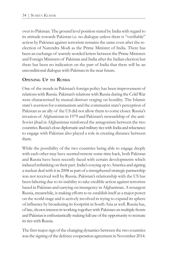over to Pakistan. The ground level position stated by India with regard to its attitude towards Pakistan i.e. no dialogue unless there is "verifiable" action by Pakistan against terrorism remains the same even after the reelection of Narendra Modi as the Prime Minister of India. There has been an exchange of warmly worded letters between the Prime Ministers and Foreign Ministers of Pakistan and India after the Indian election but there has been no indication on the part of India that there will be an unconditional dialogue with Pakistan in the near future.

#### **OPENING UP TO RUSSIA**

One of the trends in Pakistan's foreign policy has been improvement of relations with Russia. Pakistan's relations with Russia during the Cold War were characterised by mutual distrust verging on hostility. The Islamic state's aversion for communism and the communist state's perception of Pakistan as an ally of the US did not allow them to come closer. Russia's invasion of Afghanistan in 1979 and Pakistan's stewardship of the anti-Soviet jihad in Afghanistan reinforced the antagonism between the two countries. Russia's close diplomatic and military ties with India and reluctance to engage with Pakistan also played a role in creating distance between them.

While the possibility of the two countries being able to engage deeply with each other may have seemed remote some time back, both Pakistan and Russia have been recently faced with certain developments which induced rethinking on their part. India's cosying up to America and signing a nuclear deal with it in 2008 as part of a strengthened strategic partnership was not received well by Russia. Pakistan's relationship with the US has been faltering due to its inability to take credible action against terrorists based in Pakistan and carrying on insurgency in Afghanistan. A resurgent Russia, meanwhile, is making efforts to re-establish itself as a major power on the world stage and is actively involved in trying to expand its sphere of influence by broadening its footprint in South Asia as well. Russia has, of late, shown interest in working together with Pakistan on multiple fronts and Pakistan is enthusiastically making full use of the opportunity to recreate its ties with Russia.

The first major sign of the changing dynamics between the two countries was the signing of the defence cooperation agreement in November 2014.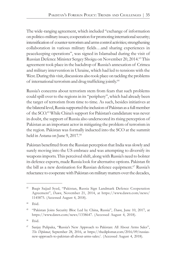The wide-ranging agreement, which included "exchange of information on politico-military issues; cooperation for promoting international security; intensification of counter-terrorism and arms control activities; strengthening collaboration in various military fields…and sharing experiences in peacekeeping operations", was signed in Islamabad during the visit of Russian Defence Minister Sergey Shoigu on November 20, 2014.<sup>63</sup> This agreement took place in the backdrop of Russia's annexation of Crimea and military intervention in Ukraine, which had led to tensions with the West. During this visit, discussions also took place on tackling the problems of international terrorism and drug trafficking jointly.<sup>64</sup>

Russia's concerns about terrorism stem from fears that such problems could spill over to the regions in its "periphery", which had already been the target of terrorism from time to time. As such, besides initiatives at the bilateral level, Russia supported the inclusion of Pakistan as a full member of the SCO. <sup>65</sup> While China's support for Pakistan's candidature was never in doubt, the support of Russia also underscored its rising perception of Pakistan as an important actor in mitigating the problem of terrorism in the region. Pakistan was formally inducted into the SCO at the summit held in Astana on June 9, 2017.<sup>66</sup>

Pakistan benefitted from the Russian perception that India was slowly and surely moving into the US embrace and was attempting to diversify its weapons imports. This perceived shift, along with Russia's need to bolster its defence exports, made Russia look for alternative options. Pakistan fit the bill as a new destination for Russian defence equipment.<sup>67</sup> Russia's reluctance to cooperate with Pakistan on military matters over the decades,

<sup>63</sup> Baqir Sajjad Syed, "Pakistan, Russia Sign Landmark Defence Cooperation Agreement", *Dawn*, November 21, 2014, at https://www.dawn.com/news/ 1145875. (Accessed August 4, 2018).

<sup>64</sup> Ibid.

<sup>65</sup> "Pakistan Joins Security Bloc Led by China, Russia", *Dawn*, June 10, 2017, at https://www.dawn.com/news/1338647. (Accessed August 4, 2018).

<sup>66</sup> Ibid.

<sup>67</sup> Sanjay Pulipaka, "Russia's New Approach to Pakistan: All About Arms Sales", *The Diplomat*, September 28, 2016, at https://thediplomat.com/2016/09/russiasnew-approach-to-pakistan-all-about-arms-sales/. (Accessed August 4, 2018).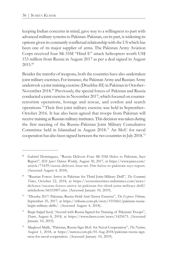keeping Indian concerns in mind, gave way to a willingness to part with advanced military systems to Pakistan. Pakistan, on its part, is widening its options given its constantly conflictual relationship with the US which has been one of its major supplier of arms. The Pakistan Army Aviation Corps received four Mi-35M "Hind E" attack helicopters worth US\$ 153 million from Russia in August 2017 as per a deal signed in August 2015.<sup>68</sup>

Besides the transfer of weapons, both the countries have also undertaken joint military exercises. For instance, the Pakistan Army and Russian Army undertook a joint training exercise (Druzhba-III) in Pakistan in October– November 2018.<sup>69</sup> Previously, the special forces of Pakistan and Russia conducted a joint exercise in November 2017, which focused on counterterrorism operations, hostage and rescue, and cordon and search operations. <sup>70</sup>Their first joint military exercise was held in September– October 2016. It has also been agreed that troops from Pakistan will receive training at Russian military institutes. This decision was taken during the first meeting of the Russia–Pakistan Joint Military Consultative Committee held in Islamabad in August 2018.<sup>71</sup> An MoU for naval cooperation has also been signed between the two countries in July 2018.<sup>72</sup>

<sup>68</sup> Gabriel Dominguez, "Russia Delivers Four Mi-35M Helos to Pakistan, Says Report", *IHS Jane's Defence Weekly*, August 30, 2017, at https://www.janes.com/ article/73439/russia-delivers-four-mi-35m-helos-to-pakistan-says-report. (Accessed August 4, 2018).

<sup>69</sup> "Russian Forces Arrive in Pakistan for Third Joint-Military Drill", *The Economic Times*, October 22, 2018, at https://economictimes.indiatimes.com/news/ defence/russian-forces-arrive-in-pakistan-for-third-joint-military-drill/ articleshow/66315007.cms. (Accessed January 10, 2019).

<sup>70</sup> "Druzba 2017: Pakistan, Russia Hold Anti-Terror Exercise", *The Express Tribune*, September 25, 2017, at https://tribune.com.pk/story/1515661/pakistan-russiabegin-military-drills/. (Accessed August 4, 2018).

Baqir Sajjad Syed, "Accord with Russia Signed for Training of Pakistani Troops", *Dawn*, August 8, 2018, at https://www.dawn.com/news/1425673. (Accessed January 10, 2019).

<sup>72</sup> Maqbool Malik, "Pakistan, Russia Sign MoU for Naval Cooperation", *The Nation*, August 1, 2018, at https://nation.com.pk/01-Aug-2018/pakistan-russia-signmou-for-naval-cooperation. (Accessed January 10, 2019).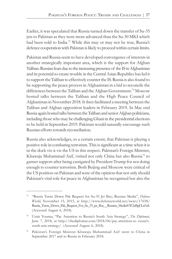Earlier, it was speculated that Russia turned down the transfer of Su-35 jets to Pakistan as they were more advanced than the Su-30 MKI which had been sold to India.<sup>73</sup> While this may or may not be true, Russia's defence cooperation with Pakistan is likely to proceed within certain limits.

Pakistan and Russia seem to have developed convergence of interests in another strategically important area, which is the support for Afghan Taliban. Russian fears due to the increasing presence of the IS in Afghanistan and its potential to create trouble in the Central Asian Republics has led it to support the Taliban to effectively counter the IS. Russia is also found to be supporting the peace process in Afghanistan in a bid to reconcile the differences between the Taliban and the Afghan Government.<sup>74</sup> Moscow hosted talks between the Taliban and the High Peace Council of Afghanistan in November 2018. It then facilitated a meeting between the Taliban and Afghan opposition leaders in February 2019. In May end Russia again hosted talks between the Taliban and senior Afghan politicians, including those who may be challenging Ghani in the presidential elections to be held in September 2019. Pakistan would naturally encourage such Russian efforts towards reconciliation.

Russia also acknowledges, to a certain extent, that Pakistan is playing a positive role in combating terrorism. This is significant at a time when it is in the dock vis-à-vis the US in this respect. Pakistan's Foreign Minister, Khawaja Muhammad Asif, visited not only China but also Russia<sup>75</sup> to garner support after being castigated by President Trump for not doing enough to counter terrorism. Both Beijing and Moscow were critical of the US position on Pakistan and were of the opinion that not only should Pakistan's vital role for peace in Afghanistan be recognised but also the

<sup>73</sup> "Russia Turns Down Pak Request for Su-35 Jet Buy; Russian Media", *Defense World*, November 15, 2015, at http://www.defenseworld.net/news/17658/ Russia\_Turns\_Down\_Pak\_Request\_For\_Su\_35\_jet\_Buy\_\_Russian\_Media#.W2zBgELrZnI. (Accessed August 6, 2018).

<sup>74</sup> Uzair Younus, "Pay Attention to Russia's South Asia Strategy", *The Diplomat*, June 7, 2018, at http://thediplomat.com/2018/06/pay-attention-to russia'ssouth-asia-strategy/. (Accessed August 6, 2018).

<sup>75</sup> Pakistan's Foreign Minister Khawaja Muhammad Asif went to China in September 2017 and to Russia in February 2018.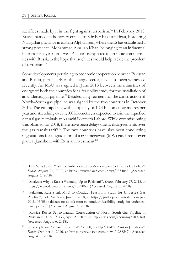sacrifices made by it in the fight against terrorism.<sup>76</sup> In February 2018, Russia named an honorary consul to Khyber Pakhtunkhwa, bordering Nangarhar province in eastern Afghanistan, where the IS has established a strong presence. Mohammad Arsallah Khan, belonging to an influential business family in north-west Pakistan, is expected to promote commercial ties with Russia in the hope that such ties would help tackle the problem of terrorism.<sup>77</sup>

Some developments pertaining to economic cooperation between Pakistan and Russia, particularly in the energy sector, have also been witnessed recently. An MoU was signed in June 2018 between the ministries of energy of both the countries for a feasibility study for the installation of an undersea gas pipeline.<sup>78</sup>Besides, an agreement for the construction of North–South gas pipeline was signed by the two countries in October 2015. The gas pipeline, with a capacity of 12.4 billion cubic metres per year and stretching over 1,100 kilometre, is expected to join the liquefied natural gas terminals at Karachi Port with Lahore. While commissioning was planned for 2018, there have been delays due to disagreements over the gas transit tariff.<sup>79</sup> The two countries have also been conducting negotiations for upgradation of a 600 megawatt (MW) gas-fired power plant at Jamshoro with Russian investment.<sup>80</sup>

Baqir Sajjad Syed, "Asif to Embark on Three-Nation Tour to Discuss US Policy", *Dawn*, August 26, 2017, at https://www.dawn.com/news/1354043. (Accessed August 6, 2018).

<sup>77</sup> "Analysis: Why is Russia Warming Up to Pakistan?", *Dawn*, February 27, 2018, at https://www.dawn.com/news/1392060. (Accessed August 6, 2018).

<sup>&</sup>quot;Pakistan, Russia Ink MoU to Conduct Feasibility Study for Undersea Gas Pipeline", *Pakistan Today*, June 8, 2018, at https://profit.pakistantoday.com.pk/ 2018/06/08/pakistan-russia-ink-mou-to-conduct-feasibility-study-for-underseagas-pipeline/. (Accessed August 6, 2018).

<sup>79</sup> "Russia's Rostec Set to Launch Construction of North–South Gas Pipeline in Pakistan in 2018", *TASS*, April 27, 2018, at http://tass.com/economy/1002160. (Accessed August 6, 2018).

<sup>&</sup>lt;sup>80</sup> Khaleeq Kiani, "Russia to Join CASA-1000, Set Up 600MW Plant in Jamshoro", *Dawn*, October 6, 2016, at https://www.dawn.com/news/1288247. (Accessed August 6, 2018).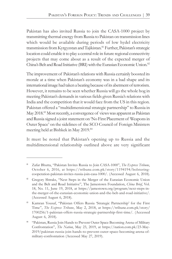Pakistan has also invited Russia to join the CASA-1000 project by transmitting thermal energy from Russia to Pakistan on transmission lines which would be available during periods of low hydel electricity transmission from Kyrgyzstan and Tajikistan.<sup>81</sup> Further, Pakistan's strategic location could enable it to play a central role in future regional connectivity projects that may come about as a result of the expected merger of China's Belt and Road Initiative (BRI) with the Eurasian Economic Union.<sup>82</sup>

The improvement of Pakistan's relations with Russia certainly boosted its morale at a time when Pakistan's economy was in a bad shape and its international image had taken a beating because of its abetment of terrorism. However, it remains to be seen whether Russia will go the whole hog in meeting Pakistan's demands in various fields given Russia's relations with India and the competition that it would face from the US in this region. Pakistan offered a "multidimensional strategic partnership" to Russia in May 2018.<sup>83</sup> Most recently, a convergence of views was apparent as Pakistan and Russia signed a joint statement on 'No First Placement of Weapons in Outer Space' on the sidelines of the SCO Council of Foreign Ministers meeting held at Bishkek in May 2019.<sup>84</sup>

It must be noted that Pakistan's opening up to Russia and the multidimensional relationship outlined above are very significant

<sup>81</sup> Zafar Bhutta, "Pakistan Invites Russia to Join CASA-1000", *The Express Tribune*, October 6, 2016, at https://tribune.com.pk/story/1194194/bolsteringcooperation-pakistan-invites-russia-join-casa-1000/. (Accessed August 6, 2018).

<sup>82</sup> Gregory Shtraks, "Next Steps in the Merger of the Eurasian Economic Union and the Belt and Road Initiative", The Jamestown Foundation, *China Brief*, Vol. 18, No. 11, June 19, 2018, at https://jamestown.org/program/next-steps-inthe-merger-of-the-eurasian-economic-union-and-the-belt-and-road-initiative/. (Accessed August 6, 2018).

<sup>83</sup> Kamran Yousaf, "Pakistan Offers Russia 'Strategic Partnership' for the First Time", *The Express Tribune*, May 2, 2018, at https://tribune.com.pk/story/ 1700256/1-pakistan-offers-russia-strategic-partnership-first-time/. (Accessed August 6, 2018).

<sup>84</sup> "Pakistan, Russia Join Hands to Prevent Outer Space Becoming Arena of Military Confrontation", *The Nation*, May 23, 2019, at https://nation.com.pk/23-May-2019/pakistan-russia-join-hands-to-prevent-outer-space-becoming-arena-ofmilitary-confrontation (Accessed May 27, 2019).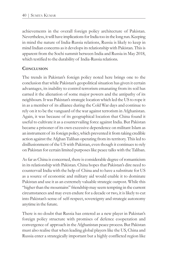achievements in the overall foreign policy architecture of Pakistan. Nevertheless, it will have implications for India too in the long run. Keeping in mind the nature of India-Russia relations, Russia is likely to keep in mind Indian concerns as it develops its relationship with Pakistan. This is apparent from the Sochi summit between India and Russia in May 2018, which testified to the durability of India-Russia relations.

#### **CONCLUSION**

The trends in Pakistan's foreign policy noted here brings one to the conclusion that while Pakistan's geopolitical situation has given it certain advantages, its inability to control terrorism emanating from its soil has earned it the alienation of some major powers and the antipathy of its neighbours. It was Pakistan's strategic location which led the US to rope it in as a member of its alliance during the Cold War days and continue to rely on it to be the vanguard of the war against terrorism in Afghanistan. Again, it was because of its geographical location that China found it useful to cultivate it as a countervailing force against India. But Pakistan became a prisoner of its own excessive dependence on militant Islam as an instrument of its foreign policy, which prevented it from taking credible action against the Afghan Taliban operating from its territory. This led to disillusionment of the US with Pakistan, even though it continues to rely on Pakistan for certain limited purposes like peace talks with the Taliban.

As far as China is concerned, there is considerable degree of romanticism in its relationship with Pakistan. China hopes that Pakistan's dire need to countervail India with the help of China and to have a substitute for US as a source of economic and military aid would enable it to dominate Pakistan and use it as an extremely valuable strategic outpost. While this "higher than the mountains" friendship may seem tempting in the current circumstances and may even endure for a decade or two, it is likely to cut into Pakistan's sense of self-respect, sovereignty and strategic autonomy anytime in the future.

There is no doubt that Russia has entered as a new player in Pakistan's foreign policy structure with promises of defence cooperation and convergence of approach in the Afghanistan peace process. But Pakistan must also realise that when leading global players like the US, China and Russia enter a strategically important but a highly conflicted region like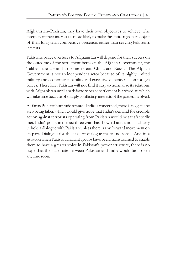Afghanistan–Pakistan, they have their own objectives to achieve. The interplay of their interests is more likely to make the entire region an object of their long-term competitive presence, rather than serving Pakistan's interests.

Pakistan's peace overtures to Afghanistan will depend for their success on the outcome of the settlement between the Afghan Government, the Taliban, the US and to some extent, China and Russia. The Afghan Government is not an independent actor because of its highly limited military and economic capability and excessive dependence on foreign forces. Therefore, Pakistan will not find it easy to normalise its relations with Afghanistan until a satisfactory peace settlement is arrived at, which will take time because of sharply conflicting interests of the parties involved.

As far as Pakistan's attitude towards India is concerned, there is no genuine step being taken which would give hope that India's demand for credible action against terrorists operating from Pakistan would be satisfactorily met. India's policy in the last three years has shown that it is not in a hurry to hold a dialogue with Pakistan unless there is any forward movement on its part. Dialogue for the sake of dialogue makes no sense. And in a situation when Pakistani militant groups have been mainstreamed to enable them to have a greater voice in Pakistan's power structure, there is no hope that the stalemate between Pakistan and India would be broken anytime soon.